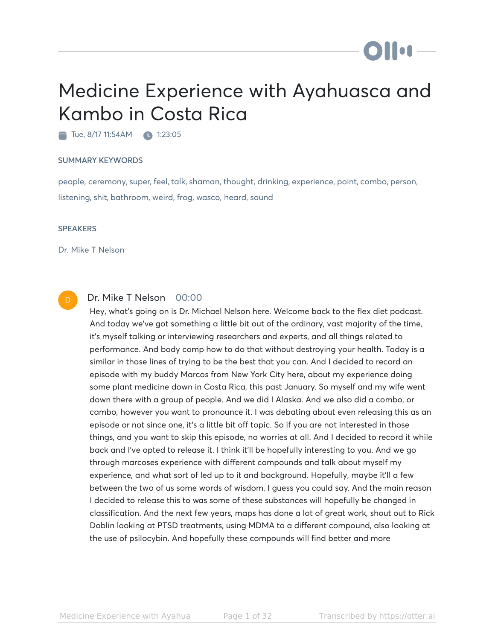# Medicine Experience with Ayahuasca and Kambo in Costa Rica

Tue, 8/17 11:54AM 1:23:05

#### SUMMARY KEYWORDS

people, ceremony, super, feel, talk, shaman, thought, drinking, experience, point, combo, person, listening, shit, bathroom, weird, frog, wasco, heard, sound

#### **SPEAKERS**

Dr. Mike T Nelson



#### Dr. Mike T Nelson 00:00

Hey, what's going on is Dr. Michael Nelson here. Welcome back to the flex diet podcast. And today we've got something a little bit out of the ordinary, vast majority of the time, it's myself talking or interviewing researchers and experts, and all things related to performance. And body comp how to do that without destroying your health. Today is a similar in those lines of trying to be the best that you can. And I decided to record an episode with my buddy Marcos from New York City here, about my experience doing some plant medicine down in Costa Rica, this past January. So myself and my wife went down there with a group of people. And we did I Alaska. And we also did a combo, or cambo, however you want to pronounce it. I was debating about even releasing this as an episode or not since one, it's a little bit off topic. So if you are not interested in those things, and you want to skip this episode, no worries at all. And I decided to record it while back and I've opted to release it. I think it'll be hopefully interesting to you. And we go through marcoses experience with different compounds and talk about myself my experience, and what sort of led up to it and background. Hopefully, maybe it'll a few between the two of us some words of wisdom, I guess you could say. And the main reason I decided to release this to was some of these substances will hopefully be changed in classification. And the next few years, maps has done a lot of great work, shout out to Rick Doblin looking at PTSD treatments, using MDMA to a different compound, also looking at the use of psilocybin. And hopefully these compounds will find better and more

**DII:1**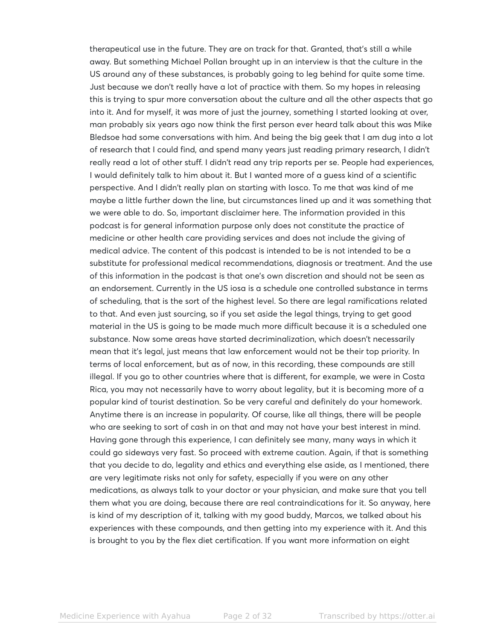therapeutical use in the future. They are on track for that. Granted, that's still a while away. But something Michael Pollan brought up in an interview is that the culture in the US around any of these substances, is probably going to leg behind for quite some time. Just because we don't really have a lot of practice with them. So my hopes in releasing this is trying to spur more conversation about the culture and all the other aspects that go into it. And for myself, it was more of just the journey, something I started looking at over, man probably six years ago now think the first person ever heard talk about this was Mike Bledsoe had some conversations with him. And being the big geek that I am dug into a lot of research that I could find, and spend many years just reading primary research, I didn't really read a lot of other stuff. I didn't read any trip reports per se. People had experiences, I would definitely talk to him about it. But I wanted more of a guess kind of a scientific perspective. And I didn't really plan on starting with Iosco. To me that was kind of me maybe a little further down the line, but circumstances lined up and it was something that we were able to do. So, important disclaimer here. The information provided in this podcast is for general information purpose only does not constitute the practice of medicine or other health care providing services and does not include the giving of medical advice. The content of this podcast is intended to be is not intended to be a substitute for professional medical recommendations, diagnosis or treatment. And the use of this information in the podcast is that one's own discretion and should not be seen as an endorsement. Currently in the US iosa is a schedule one controlled substance in terms of scheduling, that is the sort of the highest level. So there are legal ramifications related to that. And even just sourcing, so if you set aside the legal things, trying to get good material in the US is going to be made much more difficult because it is a scheduled one substance. Now some areas have started decriminalization, which doesn't necessarily mean that it's legal, just means that law enforcement would not be their top priority. In terms of local enforcement, but as of now, in this recording, these compounds are still illegal. If you go to other countries where that is different, for example, we were in Costa Rica, you may not necessarily have to worry about legality, but it is becoming more of a popular kind of tourist destination. So be very careful and definitely do your homework. Anytime there is an increase in popularity. Of course, like all things, there will be people who are seeking to sort of cash in on that and may not have your best interest in mind. Having gone through this experience, I can definitely see many, many ways in which it could go sideways very fast. So proceed with extreme caution. Again, if that is something that you decide to do, legality and ethics and everything else aside, as I mentioned, there are very legitimate risks not only for safety, especially if you were on any other medications, as always talk to your doctor or your physician, and make sure that you tell them what you are doing, because there are real contraindications for it. So anyway, here is kind of my description of it, talking with my good buddy, Marcos, we talked about his experiences with these compounds, and then getting into my experience with it. And this is brought to you by the flex diet certification. If you want more information on eight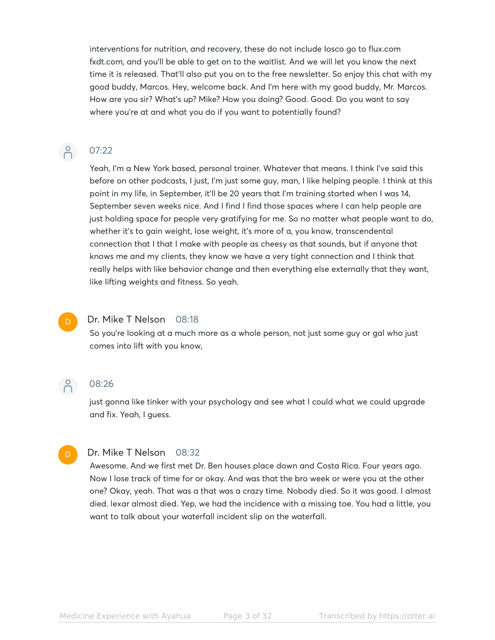interventions for nutrition, and recovery, these do not include Iosco go to flux.com fxdt.com, and you'll be able to get on to the waitlist. And we will let you know the next time it is released. That'll also put you on to the free newsletter. So enjoy this chat with my good buddy, Marcos. Hey, welcome back. And I'm here with my good buddy, Mr. Marcos. How are you sir? What's up? Mike? How you doing? Good. Good. Do you want to say where you're at and what you do if you want to potentially found?

# $\beta$

07:22

Yeah, I'm a New York based, personal trainer. Whatever that means. I think I've said this before on other podcasts, I just, I'm just some guy, man, I like helping people. I think at this point in my life, in September, it'll be 20 years that I'm training started when I was 14, September seven weeks nice. And I find I find those spaces where I can help people are just holding space for people very gratifying for me. So no matter what people want to do, whether it's to gain weight, lose weight, it's more of a, you know, transcendental connection that I that I make with people as cheesy as that sounds, but if anyone that knows me and my clients, they know we have a very tight connection and I think that really helps with like behavior change and then everything else externally that they want, like lifting weights and fitness. So yeah.



#### Dr. Mike T Nelson 08:18

So you're looking at a much more as a whole person, not just some guy or gal who just comes into lift with you know,



D

#### 08:26

just gonna like tinker with your psychology and see what I could what we could upgrade and fix. Yeah, I guess.

#### Dr. Mike T Nelson 08:32

Awesome. And we first met Dr. Ben houses place down and Costa Rica. Four years ago. Now I lose track of time for or okay. And was that the bro week or were you at the other one? Okay, yeah. That was a that was a crazy time. Nobody died. So it was good. I almost died. lexar almost died. Yep, we had the incidence with a missing toe. You had a little, you want to talk about your waterfall incident slip on the waterfall.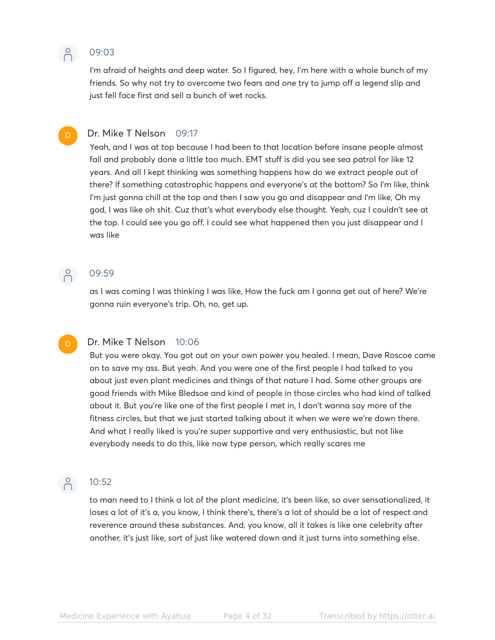

#### 09:03

I'm afraid of heights and deep water. So I figured, hey, I'm here with a whole bunch of my friends. So why not try to overcome two fears and one try to jump off a legend slip and just fell face first and sell a bunch of wet rocks.

#### Dr. Mike T Nelson 09:17

Yeah, and I was at top because I had been to that location before insane people almost fall and probably done a little too much. EMT stuff is did you see sea patrol for like 12 years. And all I kept thinking was something happens how do we extract people out of there? If something catastrophic happens and everyone's at the bottom? So I'm like, think I'm just gonna chill at the top and then I saw you go and disappear and I'm like, Oh my god, I was like oh shit. Cuz that's what everybody else thought. Yeah, cuz I couldn't see at the top. I could see you go off. I could see what happened then you just disappear and I was like

## P 09:59

as I was coming I was thinking I was like, How the fuck am I gonna get out of here? We're gonna ruin everyone's trip. Oh, no, get up.

#### D

#### Dr. Mike T Nelson 10:06

But you were okay. You got out on your own power you healed. I mean, Dave Roscoe came on to save my ass. But yeah. And you were one of the first people I had talked to you about just even plant medicines and things of that nature I had. Some other groups are good friends with Mike Bledsoe and kind of people in those circles who had kind of talked about it. But you're like one of the first people I met in, I don't wanna say more of the fitness circles, but that we just started talking about it when we were we're down there. And what I really liked is you're super supportive and very enthusiastic, but not like everybody needs to do this, like now type person, which really scares me



## P 10:52

to man need to I think a lot of the plant medicine, it's been like, so over sensationalized, it loses a lot of it's a, you know, I think there's, there's a lot of should be a lot of respect and reverence around these substances. And, you know, all it takes is like one celebrity after another, it's just like, sort of just like watered down and it just turns into something else.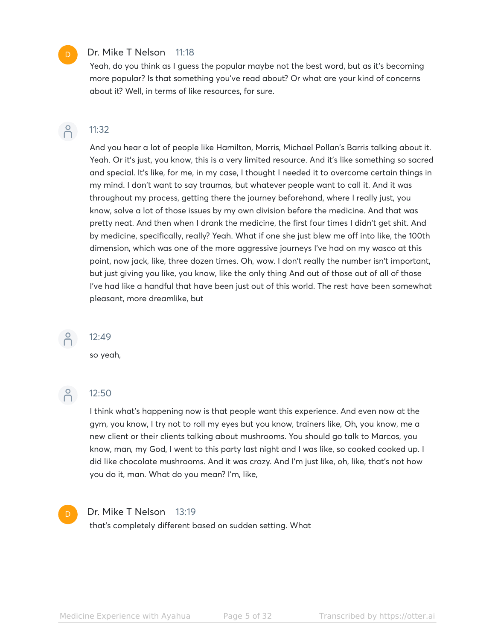#### Dr. Mike T Nelson 11:18

Yeah, do you think as I guess the popular maybe not the best word, but as it's becoming more popular? Is that something you've read about? Or what are your kind of concerns about it? Well, in terms of like resources, for sure.



#### 11:32

And you hear a lot of people like Hamilton, Morris, Michael Pollan's Barris talking about it. Yeah. Or it's just, you know, this is a very limited resource. And it's like something so sacred and special. It's like, for me, in my case, I thought I needed it to overcome certain things in my mind. I don't want to say traumas, but whatever people want to call it. And it was throughout my process, getting there the journey beforehand, where I really just, you know, solve a lot of those issues by my own division before the medicine. And that was pretty neat. And then when I drank the medicine, the first four times I didn't get shit. And by medicine, specifically, really? Yeah. What if one she just blew me off into like, the 100th dimension, which was one of the more aggressive journeys I've had on my wasco at this point, now jack, like, three dozen times. Oh, wow. I don't really the number isn't important, but just giving you like, you know, like the only thing And out of those out of all of those I've had like a handful that have been just out of this world. The rest have been somewhat pleasant, more dreamlike, but

### $\beta$

#### 12:49

so yeah,



#### 12:50

I think what's happening now is that people want this experience. And even now at the gym, you know, I try not to roll my eyes but you know, trainers like, Oh, you know, me a new client or their clients talking about mushrooms. You should go talk to Marcos, you know, man, my God, I went to this party last night and I was like, so cooked cooked up. I did like chocolate mushrooms. And it was crazy. And I'm just like, oh, like, that's not how you do it, man. What do you mean? I'm, like,

#### Dr. Mike T Nelson 13:19

that's completely different based on sudden setting. What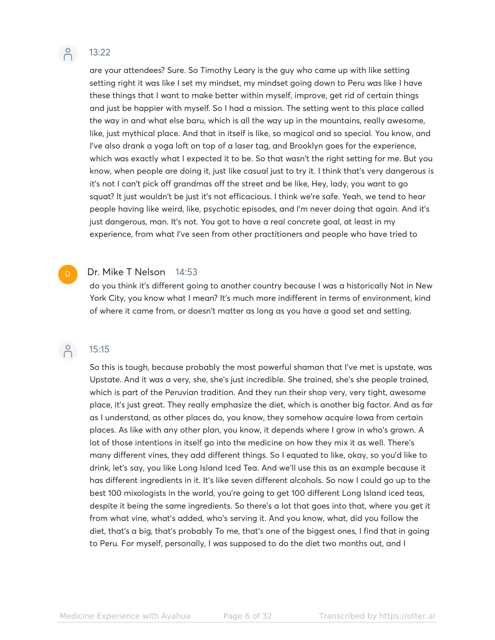#### $\beta$ 13:22

are your attendees? Sure. So Timothy Leary is the guy who came up with like setting setting right it was like I set my mindset, my mindset going down to Peru was like I have these things that I want to make better within myself, improve, get rid of certain things and just be happier with myself. So I had a mission. The setting went to this place called the way in and what else baru, which is all the way up in the mountains, really awesome, like, just mythical place. And that in itself is like, so magical and so special. You know, and I've also drank a yoga loft on top of a laser tag, and Brooklyn goes for the experience, which was exactly what I expected it to be. So that wasn't the right setting for me. But you know, when people are doing it, just like casual just to try it. I think that's very dangerous is it's not I can't pick off grandmas off the street and be like, Hey, lady, you want to go squat? It just wouldn't be just it's not efficacious. I think we're safe. Yeah, we tend to hear people having like weird, like, psychotic episodes, and I'm never doing that again. And it's just dangerous, man. It's not. You got to have a real concrete goal, at least in my experience, from what I've seen from other practitioners and people who have tried to

#### Dr. Mike T Nelson 14:53

do you think it's different going to another country because I was a historically Not in New York City, you know what I mean? It's much more indifferent in terms of environment, kind of where it came from, or doesn't matter as long as you have a good set and setting.

#### $\bigcap^{\circ}$ 15:15

D

So this is tough, because probably the most powerful shaman that I've met is upstate, was Upstate. And it was a very, she, she's just incredible. She trained, she's she people trained, which is part of the Peruvian tradition. And they run their shop very, very tight, awesome place, it's just great. They really emphasize the diet, which is another big factor. And as far as I understand, as other places do, you know, they somehow acquire Iowa from certain places. As like with any other plan, you know, it depends where I grow in who's grown. A lot of those intentions in itself go into the medicine on how they mix it as well. There's many different vines, they add different things. So I equated to like, okay, so you'd like to drink, let's say, you like Long Island Iced Tea. And we'll use this as an example because it has different ingredients in it. It's like seven different alcohols. So now I could go up to the best 100 mixologists in the world, you're going to get 100 different Long Island iced teas, despite it being the same ingredients. So there's a lot that goes into that, where you get it from what vine, what's added, who's serving it. And you know, what, did you follow the diet, that's a big, that's probably To me, that's one of the biggest ones, I find that in going to Peru. For myself, personally, I was supposed to do the diet two months out, and I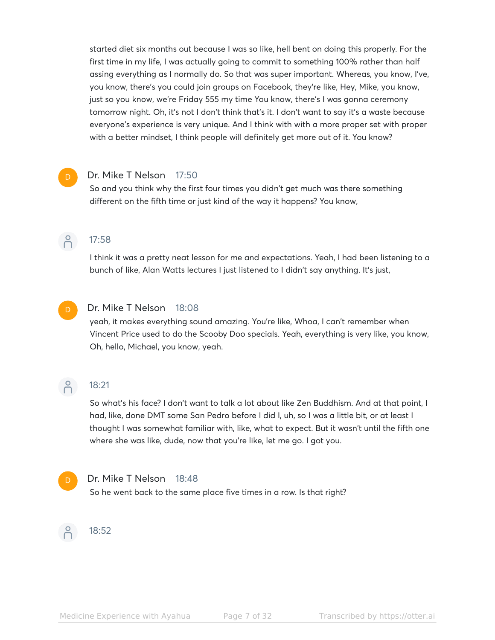started diet six months out because I was so like, hell bent on doing this properly. For the first time in my life, I was actually going to commit to something 100% rather than half assing everything as I normally do. So that was super important. Whereas, you know, I've, you know, there's you could join groups on Facebook, they're like, Hey, Mike, you know, just so you know, we're Friday 555 my time You know, there's I was gonna ceremony tomorrow night. Oh, it's not I don't think that's it. I don't want to say it's a waste because everyone's experience is very unique. And I think with with a more proper set with proper with a better mindset, I think people will definitely get more out of it. You know?

#### Dr. Mike T Nelson 17:50

So and you think why the first four times you didn't get much was there something different on the fifth time or just kind of the way it happens? You know,

## $\beta$

17:58

I think it was a pretty neat lesson for me and expectations. Yeah, I had been listening to a bunch of like, Alan Watts lectures I just listened to I didn't say anything. It's just,



#### Dr. Mike T Nelson 18:08

yeah, it makes everything sound amazing. You're like, Whoa, I can't remember when Vincent Price used to do the Scooby Doo specials. Yeah, everything is very like, you know, Oh, hello, Michael, you know, yeah.

## $\beta$

## 18:21

So what's his face? I don't want to talk a lot about like Zen Buddhism. And at that point, I had, like, done DMT some San Pedro before I did I, uh, so I was a little bit, or at least I thought I was somewhat familiar with, like, what to expect. But it wasn't until the fifth one where she was like, dude, now that you're like, let me go. I got you.

#### Dr. Mike T Nelson 18:48

So he went back to the same place five times in a row. Is that right?

## 18:52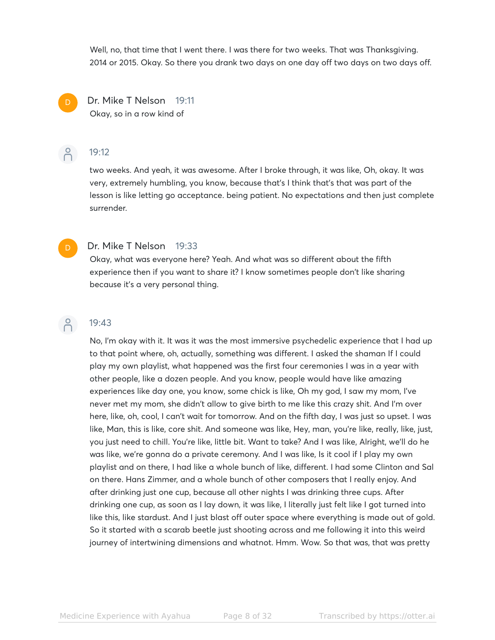Well, no, that time that I went there. I was there for two weeks. That was Thanksgiving. 2014 or 2015. Okay. So there you drank two days on one day off two days on two days off.



Dr. Mike T Nelson 19:11 Okay, so in a row kind of

### P 19:12

two weeks. And yeah, it was awesome. After I broke through, it was like, Oh, okay. It was very, extremely humbling, you know, because that's I think that's that was part of the lesson is like letting go acceptance. being patient. No expectations and then just complete surrender.



#### Dr. Mike T Nelson 19:33

Okay, what was everyone here? Yeah. And what was so different about the fifth experience then if you want to share it? I know sometimes people don't like sharing because it's a very personal thing.



#### 19:43

No, I'm okay with it. It was it was the most immersive psychedelic experience that I had up to that point where, oh, actually, something was different. I asked the shaman If I could play my own playlist, what happened was the first four ceremonies I was in a year with other people, like a dozen people. And you know, people would have like amazing experiences like day one, you know, some chick is like, Oh my god, I saw my mom, I've never met my mom, she didn't allow to give birth to me like this crazy shit. And I'm over here, like, oh, cool, I can't wait for tomorrow. And on the fifth day, I was just so upset. I was like, Man, this is like, core shit. And someone was like, Hey, man, you're like, really, like, just, you just need to chill. You're like, little bit. Want to take? And I was like, Alright, we'll do he was like, we're gonna do a private ceremony. And I was like, Is it cool if I play my own playlist and on there, I had like a whole bunch of like, different. I had some Clinton and Sal on there. Hans Zimmer, and a whole bunch of other composers that I really enjoy. And after drinking just one cup, because all other nights I was drinking three cups. After drinking one cup, as soon as I lay down, it was like, I literally just felt like I got turned into like this, like stardust. And I just blast off outer space where everything is made out of gold. So it started with a scarab beetle just shooting across and me following it into this weird journey of intertwining dimensions and whatnot. Hmm. Wow. So that was, that was pretty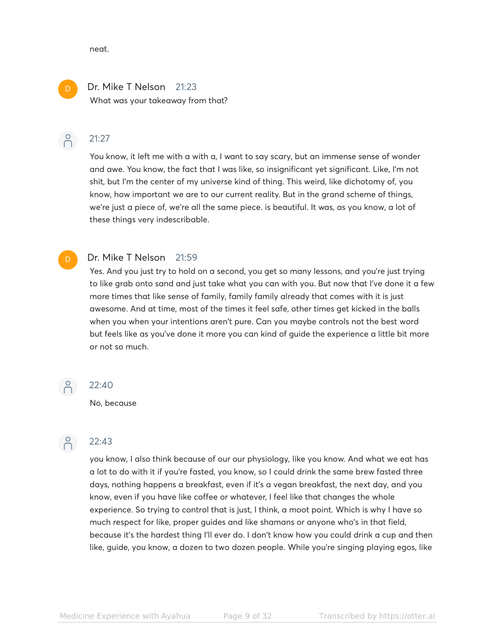neat.

### Dr. Mike T Nelson 21:23 What was your takeaway from that?

#### 21:27  $\beta$

D

You know, it left me with a with a, I want to say scary, but an immense sense of wonder and awe. You know, the fact that I was like, so insignificant yet significant. Like, I'm not shit, but I'm the center of my universe kind of thing. This weird, like dichotomy of, you know, how important we are to our current reality. But in the grand scheme of things, we're just a piece of, we're all the same piece. is beautiful. It was, as you know, a lot of these things very indescribable.

#### Dr. Mike T Nelson 21:59

Yes. And you just try to hold on a second, you get so many lessons, and you're just trying to like grab onto sand and just take what you can with you. But now that I've done it a few more times that like sense of family, family family already that comes with it is just awesome. And at time, most of the times it feel safe, other times get kicked in the balls when you when your intentions aren't pure. Can you maybe controls not the best word but feels like as you've done it more you can kind of guide the experience a little bit more or not so much.

No, because



#### 22:43

22:40

you know, I also think because of our our physiology, like you know. And what we eat has a lot to do with it if you're fasted, you know, so I could drink the same brew fasted three days, nothing happens a breakfast, even if it's a vegan breakfast, the next day, and you know, even if you have like coffee or whatever, I feel like that changes the whole experience. So trying to control that is just, I think, a moot point. Which is why I have so much respect for like, proper guides and like shamans or anyone who's in that field, because it's the hardest thing I'll ever do. I don't know how you could drink a cup and then like, guide, you know, a dozen to two dozen people. While you're singing playing egos, like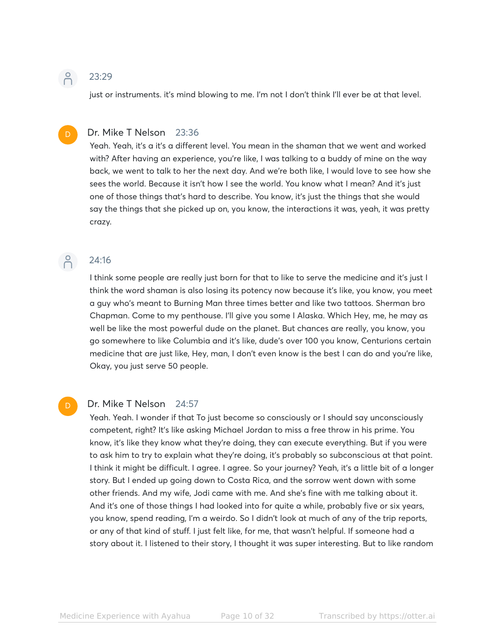### 23:29

just or instruments. it's mind blowing to me. I'm not I don't think I'll ever be at that level.

#### D

 $\beta$ 

#### Dr. Mike T Nelson 23:36

Yeah. Yeah, it's a it's a different level. You mean in the shaman that we went and worked with? After having an experience, you're like, I was talking to a buddy of mine on the way back, we went to talk to her the next day. And we're both like, I would love to see how she sees the world. Because it isn't how I see the world. You know what I mean? And it's just one of those things that's hard to describe. You know, it's just the things that she would say the things that she picked up on, you know, the interactions it was, yeah, it was pretty crazy.

#### $\bigcap^{\circ}$ 24:16

D

## I think some people are really just born for that to like to serve the medicine and it's just I think the word shaman is also losing its potency now because it's like, you know, you meet a guy who's meant to Burning Man three times better and like two tattoos. Sherman bro Chapman. Come to my penthouse. I'll give you some I Alaska. Which Hey, me, he may as well be like the most powerful dude on the planet. But chances are really, you know, you go somewhere to like Columbia and it's like, dude's over 100 you know, Centurions certain medicine that are just like, Hey, man, I don't even know is the best I can do and you're like, Okay, you just serve 50 people.

#### Dr. Mike T Nelson 24:57

Yeah. Yeah. I wonder if that To just become so consciously or I should say unconsciously competent, right? It's like asking Michael Jordan to miss a free throw in his prime. You know, it's like they know what they're doing, they can execute everything. But if you were to ask him to try to explain what they're doing, it's probably so subconscious at that point. I think it might be difficult. I agree. I agree. So your journey? Yeah, it's a little bit of a longer story. But I ended up going down to Costa Rica, and the sorrow went down with some other friends. And my wife, Jodi came with me. And she's fine with me talking about it. And it's one of those things I had looked into for quite a while, probably five or six years, you know, spend reading, I'm a weirdo. So I didn't look at much of any of the trip reports, or any of that kind of stuff. I just felt like, for me, that wasn't helpful. If someone had a story about it. I listened to their story, I thought it was super interesting. But to like random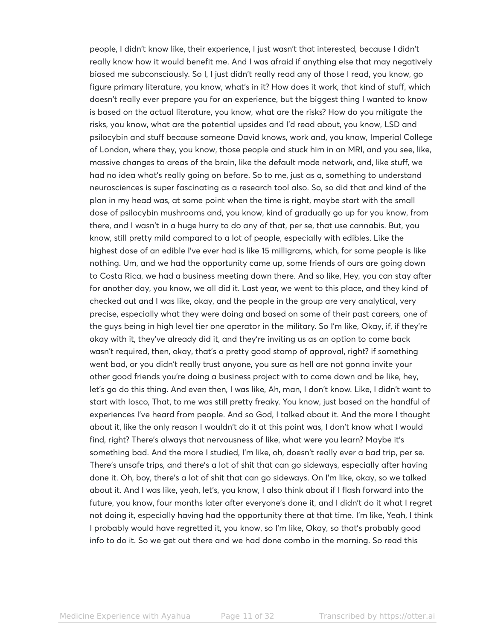people, I didn't know like, their experience, I just wasn't that interested, because I didn't really know how it would benefit me. And I was afraid if anything else that may negatively biased me subconsciously. So I, I just didn't really read any of those I read, you know, go figure primary literature, you know, what's in it? How does it work, that kind of stuff, which doesn't really ever prepare you for an experience, but the biggest thing I wanted to know is based on the actual literature, you know, what are the risks? How do you mitigate the risks, you know, what are the potential upsides and I'd read about, you know, LSD and psilocybin and stuff because someone David knows, work and, you know, Imperial College of London, where they, you know, those people and stuck him in an MRI, and you see, like, massive changes to areas of the brain, like the default mode network, and, like stuff, we had no idea what's really going on before. So to me, just as a, something to understand neurosciences is super fascinating as a research tool also. So, so did that and kind of the plan in my head was, at some point when the time is right, maybe start with the small dose of psilocybin mushrooms and, you know, kind of gradually go up for you know, from there, and I wasn't in a huge hurry to do any of that, per se, that use cannabis. But, you know, still pretty mild compared to a lot of people, especially with edibles. Like the highest dose of an edible I've ever had is like 15 milligrams, which, for some people is like nothing. Um, and we had the opportunity came up, some friends of ours are going down to Costa Rica, we had a business meeting down there. And so like, Hey, you can stay after for another day, you know, we all did it. Last year, we went to this place, and they kind of checked out and I was like, okay, and the people in the group are very analytical, very precise, especially what they were doing and based on some of their past careers, one of the guys being in high level tier one operator in the military. So I'm like, Okay, if, if they're okay with it, they've already did it, and they're inviting us as an option to come back wasn't required, then, okay, that's a pretty good stamp of approval, right? if something went bad, or you didn't really trust anyone, you sure as hell are not gonna invite your other good friends you're doing a business project with to come down and be like, hey, let's go do this thing. And even then, I was like, Ah, man, I don't know. Like, I didn't want to start with Iosco, That, to me was still pretty freaky. You know, just based on the handful of experiences I've heard from people. And so God, I talked about it. And the more I thought about it, like the only reason I wouldn't do it at this point was, I don't know what I would find, right? There's always that nervousness of like, what were you learn? Maybe it's something bad. And the more I studied, I'm like, oh, doesn't really ever a bad trip, per se. There's unsafe trips, and there's a lot of shit that can go sideways, especially after having done it. Oh, boy, there's a lot of shit that can go sideways. On I'm like, okay, so we talked about it. And I was like, yeah, let's, you know, I also think about if I flash forward into the future, you know, four months later after everyone's done it, and I didn't do it what I regret not doing it, especially having had the opportunity there at that time. I'm like, Yeah, I think I probably would have regretted it, you know, so I'm like, Okay, so that's probably good info to do it. So we get out there and we had done combo in the morning. So read this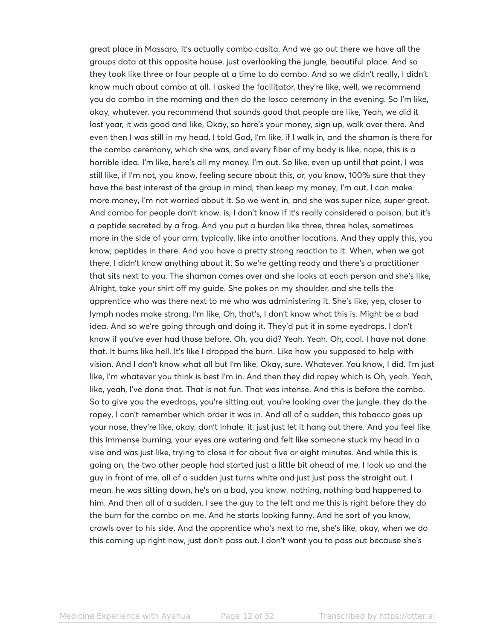great place in Massaro, it's actually combo casita. And we go out there we have all the groups data at this opposite house, just overlooking the jungle, beautiful place. And so they took like three or four people at a time to do combo. And so we didn't really, I didn't know much about combo at all. I asked the facilitator, they're like, well, we recommend you do combo in the morning and then do the Iosco ceremony in the evening. So I'm like, okay, whatever. you recommend that sounds good that people are like, Yeah, we did it last year, it was good and like, Okay, so here's your money, sign up, walk over there. And even then I was still in my head. I told God, I'm like, if I walk in, and the shaman is there for the combo ceremony, which she was, and every fiber of my body is like, nope, this is a horrible idea. I'm like, here's all my money. I'm out. So like, even up until that point, I was still like, if I'm not, you know, feeling secure about this, or, you know, 100% sure that they have the best interest of the group in mind, then keep my money, I'm out, I can make more money, I'm not worried about it. So we went in, and she was super nice, super great. And combo for people don't know, is, I don't know if it's really considered a poison, but it's a peptide secreted by a frog. And you put a burden like three, three holes, sometimes more in the side of your arm, typically, like into another locations. And they apply this, you know, peptides in there. And you have a pretty strong reaction to it. When, when we got there, I didn't know anything about it. So we're getting ready and there's a practitioner that sits next to you. The shaman comes over and she looks at each person and she's like, Alright, take your shirt off my guide. She pokes on my shoulder, and she tells the apprentice who was there next to me who was administering it. She's like, yep, closer to lymph nodes make strong. I'm like, Oh, that's, I don't know what this is. Might be a bad idea. And so we're going through and doing it. They'd put it in some eyedrops. I don't know if you've ever had those before. Oh, you did? Yeah. Yeah. Oh, cool. I have not done that. It burns like hell. It's like I dropped the burn. Like how you supposed to help with vision. And I don't know what all but I'm like, Okay, sure. Whatever. You know, I did. I'm just like, I'm whatever you think is best I'm in. And then they did ropey which is Oh, yeah. Yeah, like, yeah, I've done that. That is not fun. That was intense. And this is before the combo. So to give you the eyedrops, you're sitting out, you're looking over the jungle, they do the ropey, I can't remember which order it was in. And all of a sudden, this tobacco goes up your nose, they're like, okay, don't inhale, it, just just let it hang out there. And you feel like this immense burning, your eyes are watering and felt like someone stuck my head in a vise and was just like, trying to close it for about five or eight minutes. And while this is going on, the two other people had started just a little bit ahead of me, I look up and the guy in front of me, all of a sudden just turns white and just just pass the straight out. I mean, he was sitting down, he's on a bad, you know, nothing, nothing bad happened to him. And then all of a sudden, I see the guy to the left and me this is right before they do the burn for the combo on me. And he starts looking funny. And he sort of you know, crawls over to his side. And the apprentice who's next to me, she's like, okay, when we do this coming up right now, just don't pass out. I don't want you to pass out because she's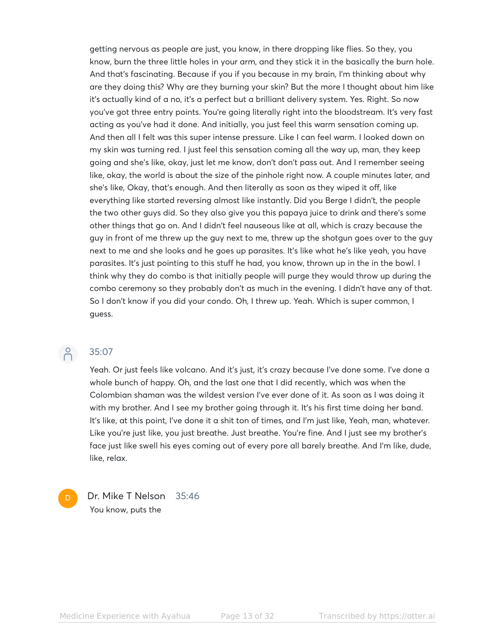getting nervous as people are just, you know, in there dropping like flies. So they, you know, burn the three little holes in your arm, and they stick it in the basically the burn hole. And that's fascinating. Because if you if you because in my brain, I'm thinking about why are they doing this? Why are they burning your skin? But the more I thought about him like it's actually kind of a no, it's a perfect but a brilliant delivery system. Yes. Right. So now you've got three entry points. You're going literally right into the bloodstream. It's very fast acting as you've had it done. And initially, you just feel this warm sensation coming up. And then all I felt was this super intense pressure. Like I can feel warm. I looked down on my skin was turning red. I just feel this sensation coming all the way up, man, they keep going and she's like, okay, just let me know, don't don't pass out. And I remember seeing like, okay, the world is about the size of the pinhole right now. A couple minutes later, and she's like, Okay, that's enough. And then literally as soon as they wiped it off, like everything like started reversing almost like instantly. Did you Berge I didn't, the people the two other guys did. So they also give you this papaya juice to drink and there's some other things that go on. And I didn't feel nauseous like at all, which is crazy because the guy in front of me threw up the guy next to me, threw up the shotgun goes over to the guy next to me and she looks and he goes up parasites. It's like what he's like yeah, you have parasites. It's just pointing to this stuff he had, you know, thrown up in the in the bowl. I think why they do combo is that initially people will purge they would throw up during the combo ceremony so they probably don't as much in the evening. I didn't have any of that. So I don't know if you did your condo. Oh, I threw up. Yeah. Which is super common, I guess.

 $\beta$ 

D

#### 35:07

Yeah. Or just feels like volcano. And it's just, it's crazy because I've done some. I've done a whole bunch of happy. Oh, and the last one that I did recently, which was when the Colombian shaman was the wildest version I've ever done of it. As soon as I was doing it with my brother. And I see my brother going through it. It's his first time doing her band. It's like, at this point, I've done it a shit ton of times, and I'm just like, Yeah, man, whatever. Like you're just like, you just breathe. Just breathe. You're fine. And I just see my brother's face just like swell his eyes coming out of every pore all barely breathe. And I'm like, dude, like, relax.

Dr. Mike T Nelson 35:46 You know, puts the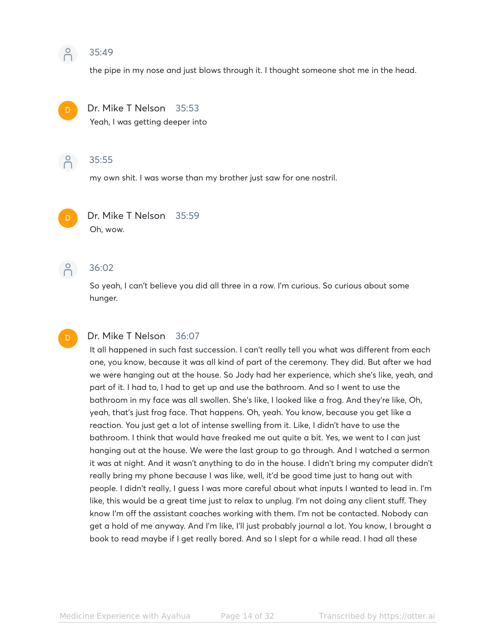### 8 35:49

the pipe in my nose and just blows through it. I thought someone shot me in the head.



#### Dr. Mike T Nelson 35:53

Yeah, I was getting deeper into



#### 35:55

my own shit. I was worse than my brother just saw for one nostril.



# Dr. Mike T Nelson 35:59

Oh, wow.



D

### 36:02

So yeah, I can't believe you did all three in a row. I'm curious. So curious about some hunger.

#### Dr. Mike T Nelson 36:07

It all happened in such fast succession. I can't really tell you what was different from each one, you know, because it was all kind of part of the ceremony. They did. But after we had we were hanging out at the house. So Jody had her experience, which she's like, yeah, and part of it. I had to, I had to get up and use the bathroom. And so I went to use the bathroom in my face was all swollen. She's like, I looked like a frog. And they're like, Oh, yeah, that's just frog face. That happens. Oh, yeah. You know, because you get like a reaction. You just get a lot of intense swelling from it. Like, I didn't have to use the bathroom. I think that would have freaked me out quite a bit. Yes, we went to I can just hanging out at the house. We were the last group to go through. And I watched a sermon it was at night. And it wasn't anything to do in the house. I didn't bring my computer didn't really bring my phone because I was like, well, it'd be good time just to hang out with people. I didn't really, I guess I was more careful about what inputs I wanted to lead in. I'm like, this would be a great time just to relax to unplug. I'm not doing any client stuff. They know I'm off the assistant coaches working with them. I'm not be contacted. Nobody can get a hold of me anyway. And I'm like, I'll just probably journal a lot. You know, I brought a book to read maybe if I get really bored. And so I slept for a while read. I had all these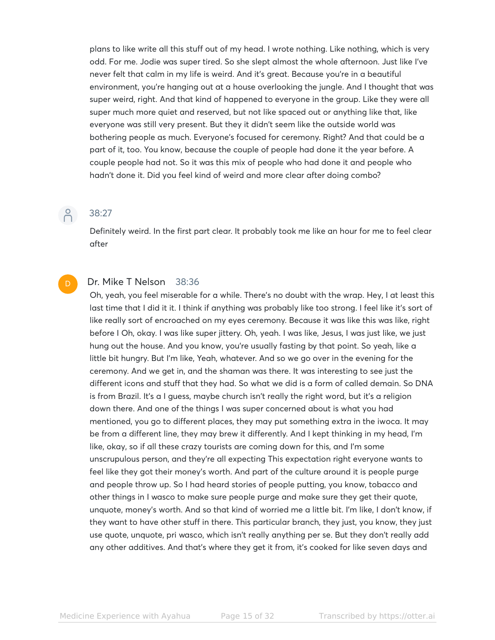plans to like write all this stuff out of my head. I wrote nothing. Like nothing, which is very odd. For me. Jodie was super tired. So she slept almost the whole afternoon. Just like I've never felt that calm in my life is weird. And it's great. Because you're in a beautiful environment, you're hanging out at a house overlooking the jungle. And I thought that was super weird, right. And that kind of happened to everyone in the group. Like they were all super much more quiet and reserved, but not like spaced out or anything like that, like everyone was still very present. But they it didn't seem like the outside world was bothering people as much. Everyone's focused for ceremony. Right? And that could be a part of it, too. You know, because the couple of people had done it the year before. A couple people had not. So it was this mix of people who had done it and people who hadn't done it. Did you feel kind of weird and more clear after doing combo?

 $\beta$ 

#### 38:27

Definitely weird. In the first part clear. It probably took me like an hour for me to feel clear after

#### D

#### Dr. Mike T Nelson 38:36

Oh, yeah, you feel miserable for a while. There's no doubt with the wrap. Hey, I at least this last time that I did it it. I think if anything was probably like too strong. I feel like it's sort of like really sort of encroached on my eyes ceremony. Because it was like this was like, right before I Oh, okay. I was like super jittery. Oh, yeah. I was like, Jesus, I was just like, we just hung out the house. And you know, you're usually fasting by that point. So yeah, like a little bit hungry. But I'm like, Yeah, whatever. And so we go over in the evening for the ceremony. And we get in, and the shaman was there. It was interesting to see just the different icons and stuff that they had. So what we did is a form of called demain. So DNA is from Brazil. It's a I guess, maybe church isn't really the right word, but it's a religion down there. And one of the things I was super concerned about is what you had mentioned, you go to different places, they may put something extra in the iwoca. It may be from a different line, they may brew it differently. And I kept thinking in my head, I'm like, okay, so if all these crazy tourists are coming down for this, and I'm some unscrupulous person, and they're all expecting This expectation right everyone wants to feel like they got their money's worth. And part of the culture around it is people purge and people throw up. So I had heard stories of people putting, you know, tobacco and other things in I wasco to make sure people purge and make sure they get their quote, unquote, money's worth. And so that kind of worried me a little bit. I'm like, I don't know, if they want to have other stuff in there. This particular branch, they just, you know, they just use quote, unquote, pri wasco, which isn't really anything per se. But they don't really add any other additives. And that's where they get it from, it's cooked for like seven days and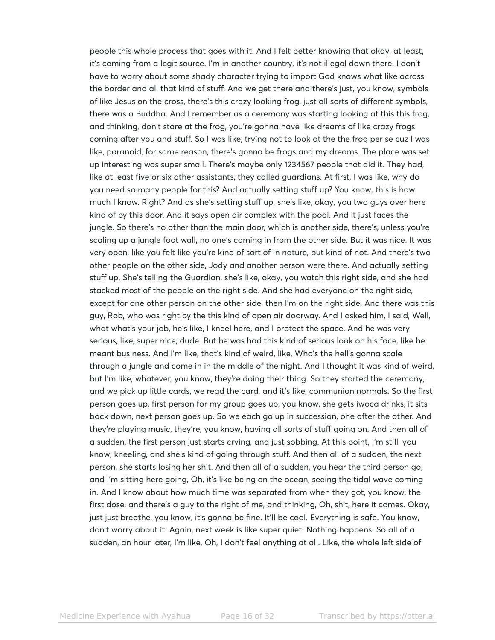people this whole process that goes with it. And I felt better knowing that okay, at least, it's coming from a legit source. I'm in another country, it's not illegal down there. I don't have to worry about some shady character trying to import God knows what like across the border and all that kind of stuff. And we get there and there's just, you know, symbols of like Jesus on the cross, there's this crazy looking frog, just all sorts of different symbols, there was a Buddha. And I remember as a ceremony was starting looking at this this frog, and thinking, don't stare at the frog, you're gonna have like dreams of like crazy frogs coming after you and stuff. So I was like, trying not to look at the the frog per se cuz I was like, paranoid, for some reason, there's gonna be frogs and my dreams. The place was set up interesting was super small. There's maybe only 1234567 people that did it. They had, like at least five or six other assistants, they called guardians. At first, I was like, why do you need so many people for this? And actually setting stuff up? You know, this is how much I know. Right? And as she's setting stuff up, she's like, okay, you two guys over here kind of by this door. And it says open air complex with the pool. And it just faces the jungle. So there's no other than the main door, which is another side, there's, unless you're scaling up a jungle foot wall, no one's coming in from the other side. But it was nice. It was very open, like you felt like you're kind of sort of in nature, but kind of not. And there's two other people on the other side, Jody and another person were there. And actually setting stuff up. She's telling the Guardian, she's like, okay, you watch this right side, and she had stacked most of the people on the right side. And she had everyone on the right side, except for one other person on the other side, then I'm on the right side. And there was this guy, Rob, who was right by the this kind of open air doorway. And I asked him, I said, Well, what what's your job, he's like, I kneel here, and I protect the space. And he was very serious, like, super nice, dude. But he was had this kind of serious look on his face, like he meant business. And I'm like, that's kind of weird, like, Who's the hell's gonna scale through a jungle and come in in the middle of the night. And I thought it was kind of weird, but I'm like, whatever, you know, they're doing their thing. So they started the ceremony, and we pick up little cards, we read the card, and it's like, communion normals. So the first person goes up, first person for my group goes up, you know, she gets iwoca drinks, it sits back down, next person goes up. So we each go up in succession, one after the other. And they're playing music, they're, you know, having all sorts of stuff going on. And then all of a sudden, the first person just starts crying, and just sobbing. At this point, I'm still, you know, kneeling, and she's kind of going through stuff. And then all of a sudden, the next person, she starts losing her shit. And then all of a sudden, you hear the third person go, and I'm sitting here going, Oh, it's like being on the ocean, seeing the tidal wave coming in. And I know about how much time was separated from when they got, you know, the first dose, and there's a guy to the right of me, and thinking, Oh, shit, here it comes. Okay, just just breathe, you know, it's gonna be fine. It'll be cool. Everything is safe. You know, don't worry about it. Again, next week is like super quiet. Nothing happens. So all of a sudden, an hour later, I'm like, Oh, I don't feel anything at all. Like, the whole left side of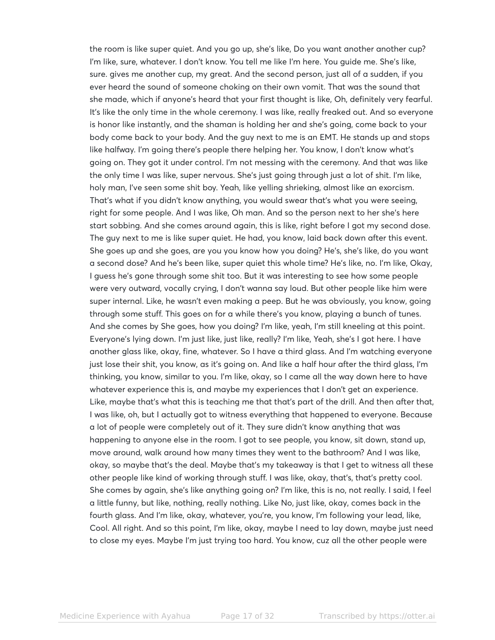the room is like super quiet. And you go up, she's like, Do you want another another cup? I'm like, sure, whatever. I don't know. You tell me like I'm here. You guide me. She's like, sure. gives me another cup, my great. And the second person, just all of a sudden, if you ever heard the sound of someone choking on their own vomit. That was the sound that she made, which if anyone's heard that your first thought is like, Oh, definitely very fearful. It's like the only time in the whole ceremony. I was like, really freaked out. And so everyone is honor like instantly, and the shaman is holding her and she's going, come back to your body come back to your body. And the guy next to me is an EMT. He stands up and stops like halfway. I'm going there's people there helping her. You know, I don't know what's going on. They got it under control. I'm not messing with the ceremony. And that was like the only time I was like, super nervous. She's just going through just a lot of shit. I'm like, holy man, I've seen some shit boy. Yeah, like yelling shrieking, almost like an exorcism. That's what if you didn't know anything, you would swear that's what you were seeing, right for some people. And I was like, Oh man. And so the person next to her she's here start sobbing. And she comes around again, this is like, right before I got my second dose. The guy next to me is like super quiet. He had, you know, laid back down after this event. She goes up and she goes, are you you know how you doing? He's, she's like, do you want a second dose? And he's been like, super quiet this whole time? He's like, no. I'm like, Okay, I guess he's gone through some shit too. But it was interesting to see how some people were very outward, vocally crying, I don't wanna say loud. But other people like him were super internal. Like, he wasn't even making a peep. But he was obviously, you know, going through some stuff. This goes on for a while there's you know, playing a bunch of tunes. And she comes by She goes, how you doing? I'm like, yeah, I'm still kneeling at this point. Everyone's lying down. I'm just like, just like, really? I'm like, Yeah, she's I got here. I have another glass like, okay, fine, whatever. So I have a third glass. And I'm watching everyone just lose their shit, you know, as it's going on. And like a half hour after the third glass, I'm thinking, you know, similar to you. I'm like, okay, so I came all the way down here to have whatever experience this is, and maybe my experiences that I don't get an experience. Like, maybe that's what this is teaching me that that's part of the drill. And then after that, I was like, oh, but I actually got to witness everything that happened to everyone. Because a lot of people were completely out of it. They sure didn't know anything that was happening to anyone else in the room. I got to see people, you know, sit down, stand up, move around, walk around how many times they went to the bathroom? And I was like, okay, so maybe that's the deal. Maybe that's my takeaway is that I get to witness all these other people like kind of working through stuff. I was like, okay, that's, that's pretty cool. She comes by again, she's like anything going on? I'm like, this is no, not really. I said, I feel a little funny, but like, nothing, really nothing. Like No, just like, okay, comes back in the fourth glass. And I'm like, okay, whatever, you're, you know, I'm following your lead, like, Cool. All right. And so this point, I'm like, okay, maybe I need to lay down, maybe just need to close my eyes. Maybe I'm just trying too hard. You know, cuz all the other people were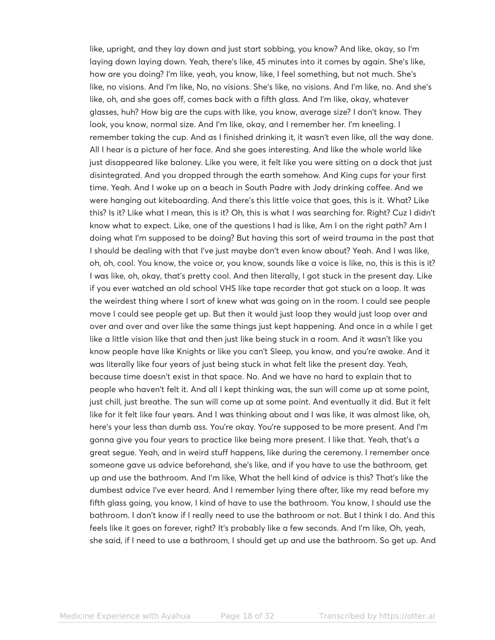like, upright, and they lay down and just start sobbing, you know? And like, okay, so I'm laying down laying down. Yeah, there's like, 45 minutes into it comes by again. She's like, how are you doing? I'm like, yeah, you know, like, I feel something, but not much. She's like, no visions. And I'm like, No, no visions. She's like, no visions. And I'm like, no. And she's like, oh, and she goes off, comes back with a fifth glass. And I'm like, okay, whatever glasses, huh? How big are the cups with like, you know, average size? I don't know. They look, you know, normal size. And I'm like, okay, and I remember her. I'm kneeling. I remember taking the cup. And as I finished drinking it, it wasn't even like, all the way done. All I hear is a picture of her face. And she goes interesting. And like the whole world like just disappeared like baloney. Like you were, it felt like you were sitting on a dock that just disintegrated. And you dropped through the earth somehow. And King cups for your first time. Yeah. And I woke up on a beach in South Padre with Jody drinking coffee. And we were hanging out kiteboarding. And there's this little voice that goes, this is it. What? Like this? Is it? Like what I mean, this is it? Oh, this is what I was searching for. Right? Cuz I didn't know what to expect. Like, one of the questions I had is like, Am I on the right path? Am I doing what I'm supposed to be doing? But having this sort of weird trauma in the past that I should be dealing with that I've just maybe don't even know about? Yeah. And I was like, oh, oh, cool. You know, the voice or, you know, sounds like a voice is like, no, this is this is it? I was like, oh, okay, that's pretty cool. And then literally, I got stuck in the present day. Like if you ever watched an old school VHS like tape recorder that got stuck on a loop. It was the weirdest thing where I sort of knew what was going on in the room. I could see people move I could see people get up. But then it would just loop they would just loop over and over and over and over like the same things just kept happening. And once in a while I get like a little vision like that and then just like being stuck in a room. And it wasn't like you know people have like Knights or like you can't Sleep, you know, and you're awake. And it was literally like four years of just being stuck in what felt like the present day. Yeah, because time doesn't exist in that space. No. And we have no hard to explain that to people who haven't felt it. And all I kept thinking was, the sun will come up at some point, just chill, just breathe. The sun will come up at some point. And eventually it did. But it felt like for it felt like four years. And I was thinking about and I was like, it was almost like, oh, here's your less than dumb ass. You're okay. You're supposed to be more present. And I'm gonna give you four years to practice like being more present. I like that. Yeah, that's a great segue. Yeah, and in weird stuff happens, like during the ceremony. I remember once someone gave us advice beforehand, she's like, and if you have to use the bathroom, get up and use the bathroom. And I'm like, What the hell kind of advice is this? That's like the dumbest advice I've ever heard. And I remember lying there after, like my read before my fifth glass going, you know, I kind of have to use the bathroom. You know, I should use the bathroom. I don't know if I really need to use the bathroom or not. But I think I do. And this feels like it goes on forever, right? It's probably like a few seconds. And I'm like, Oh, yeah, she said, if I need to use a bathroom, I should get up and use the bathroom. So get up. And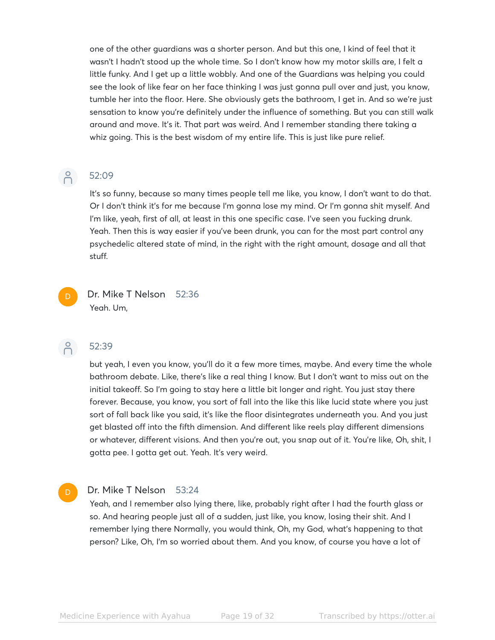one of the other guardians was a shorter person. And but this one, I kind of feel that it wasn't I hadn't stood up the whole time. So I don't know how my motor skills are, I felt a little funky. And I get up a little wobbly. And one of the Guardians was helping you could see the look of like fear on her face thinking I was just gonna pull over and just, you know, tumble her into the floor. Here. She obviously gets the bathroom, I get in. And so we're just sensation to know you're definitely under the influence of something. But you can still walk around and move. It's it. That part was weird. And I remember standing there taking a whiz going. This is the best wisdom of my entire life. This is just like pure relief.

# $\beta$

#### 52:09

It's so funny, because so many times people tell me like, you know, I don't want to do that. Or I don't think it's for me because I'm gonna lose my mind. Or I'm gonna shit myself. And I'm like, yeah, first of all, at least in this one specific case. I've seen you fucking drunk. Yeah. Then this is way easier if you've been drunk, you can for the most part control any psychedelic altered state of mind, in the right with the right amount, dosage and all that stuff.

Dr. Mike T Nelson 52:36 Yeah. Um,

 $\beta$ 

#### 52:39

but yeah, I even you know, you'll do it a few more times, maybe. And every time the whole bathroom debate. Like, there's like a real thing I know. But I don't want to miss out on the initial takeoff. So I'm going to stay here a little bit longer and right. You just stay there forever. Because, you know, you sort of fall into the like this like lucid state where you just sort of fall back like you said, it's like the floor disintegrates underneath you. And you just get blasted off into the fifth dimension. And different like reels play different dimensions or whatever, different visions. And then you're out, you snap out of it. You're like, Oh, shit, I gotta pee. I gotta get out. Yeah. It's very weird.

#### Dr. Mike T Nelson 53:24

Yeah, and I remember also lying there, like, probably right after I had the fourth glass or so. And hearing people just all of a sudden, just like, you know, losing their shit. And I remember lying there Normally, you would think, Oh, my God, what's happening to that person? Like, Oh, I'm so worried about them. And you know, of course you have a lot of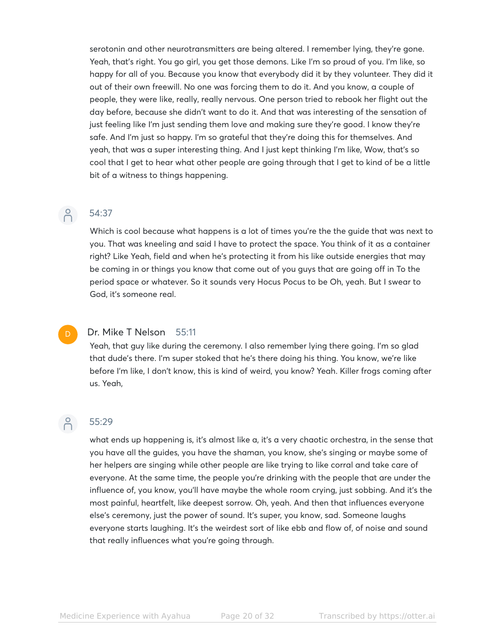serotonin and other neurotransmitters are being altered. I remember lying, they're gone. Yeah, that's right. You go girl, you get those demons. Like I'm so proud of you. I'm like, so happy for all of you. Because you know that everybody did it by they volunteer. They did it out of their own freewill. No one was forcing them to do it. And you know, a couple of people, they were like, really, really nervous. One person tried to rebook her flight out the day before, because she didn't want to do it. And that was interesting of the sensation of just feeling like I'm just sending them love and making sure they're good. I know they're safe. And I'm just so happy. I'm so grateful that they're doing this for themselves. And yeah, that was a super interesting thing. And I just kept thinking I'm like, Wow, that's so cool that I get to hear what other people are going through that I get to kind of be a little bit of a witness to things happening.

#### 54:37

 $\beta$ 

Which is cool because what happens is a lot of times you're the the guide that was next to you. That was kneeling and said I have to protect the space. You think of it as a container right? Like Yeah, field and when he's protecting it from his like outside energies that may be coming in or things you know that come out of you guys that are going off in To the period space or whatever. So it sounds very Hocus Pocus to be Oh, yeah. But I swear to God, it's someone real.

#### Dr. Mike T Nelson 55:11

Yeah, that guy like during the ceremony. I also remember lying there going. I'm so glad that dude's there. I'm super stoked that he's there doing his thing. You know, we're like before I'm like, I don't know, this is kind of weird, you know? Yeah. Killer frogs coming after us. Yeah,

# $\bigcap^{\circ}$

D

#### 55:29

what ends up happening is, it's almost like a, it's a very chaotic orchestra, in the sense that you have all the guides, you have the shaman, you know, she's singing or maybe some of her helpers are singing while other people are like trying to like corral and take care of everyone. At the same time, the people you're drinking with the people that are under the influence of, you know, you'll have maybe the whole room crying, just sobbing. And it's the most painful, heartfelt, like deepest sorrow. Oh, yeah. And then that influences everyone else's ceremony, just the power of sound. It's super, you know, sad. Someone laughs everyone starts laughing. It's the weirdest sort of like ebb and flow of, of noise and sound that really influences what you're going through.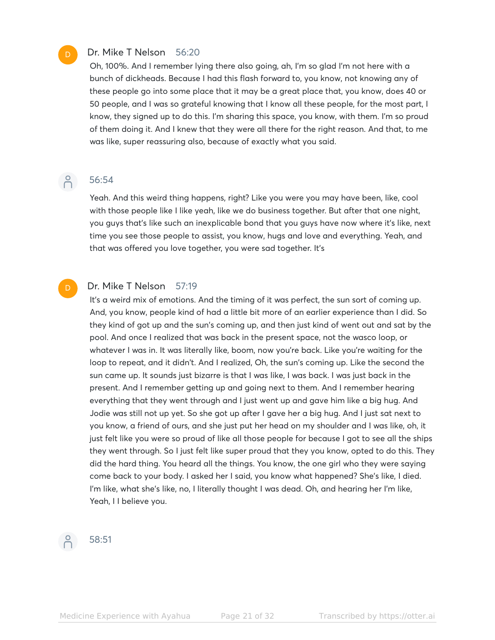#### Dr. Mike T Nelson 56:20

Oh, 100%. And I remember lying there also going, ah, I'm so glad I'm not here with a bunch of dickheads. Because I had this flash forward to, you know, not knowing any of these people go into some place that it may be a great place that, you know, does 40 or 50 people, and I was so grateful knowing that I know all these people, for the most part, I know, they signed up to do this. I'm sharing this space, you know, with them. I'm so proud of them doing it. And I knew that they were all there for the right reason. And that, to me was like, super reassuring also, because of exactly what you said.

# $\beta$

D

D

### 56:54

Yeah. And this weird thing happens, right? Like you were you may have been, like, cool with those people like I like yeah, like we do business together. But after that one night, you guys that's like such an inexplicable bond that you guys have now where it's like, next time you see those people to assist, you know, hugs and love and everything. Yeah, and that was offered you love together, you were sad together. It's

#### Dr. Mike T Nelson 57:19

It's a weird mix of emotions. And the timing of it was perfect, the sun sort of coming up. And, you know, people kind of had a little bit more of an earlier experience than I did. So they kind of got up and the sun's coming up, and then just kind of went out and sat by the pool. And once I realized that was back in the present space, not the wasco loop, or whatever I was in. It was literally like, boom, now you're back. Like you're waiting for the loop to repeat, and it didn't. And I realized, Oh, the sun's coming up. Like the second the sun came up. It sounds just bizarre is that I was like, I was back. I was just back in the present. And I remember getting up and going next to them. And I remember hearing everything that they went through and I just went up and gave him like a big hug. And Jodie was still not up yet. So she got up after I gave her a big hug. And I just sat next to you know, a friend of ours, and she just put her head on my shoulder and I was like, oh, it just felt like you were so proud of like all those people for because I got to see all the ships they went through. So I just felt like super proud that they you know, opted to do this. They did the hard thing. You heard all the things. You know, the one girl who they were saying come back to your body. I asked her I said, you know what happened? She's like, I died. I'm like, what she's like, no, I literally thought I was dead. Oh, and hearing her I'm like, Yeah, I I believe you.



#### 58:51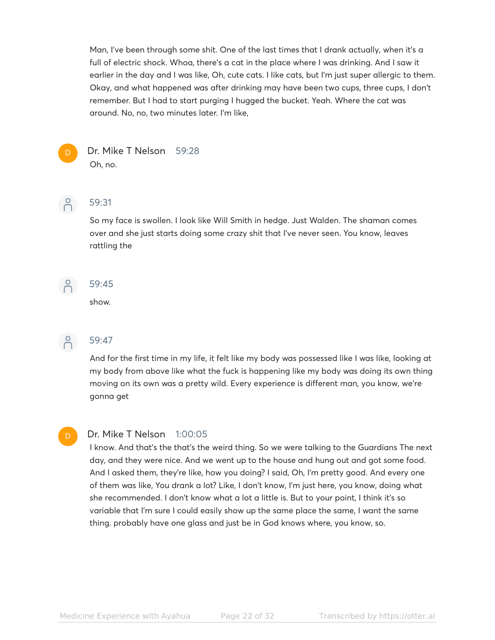Man, I've been through some shit. One of the last times that I drank actually, when it's a full of electric shock. Whoa, there's a cat in the place where I was drinking. And I saw it earlier in the day and I was like, Oh, cute cats. I like cats, but I'm just super allergic to them. Okay, and what happened was after drinking may have been two cups, three cups, I don't remember. But I had to start purging I hugged the bucket. Yeah. Where the cat was around. No, no, two minutes later. I'm like,



#### Dr. Mike T Nelson 59:28 Oh, no.

 $\beta$ 

#### 59:31

So my face is swollen. I look like Will Smith in hedge. Just Walden. The shaman comes over and she just starts doing some crazy shit that I've never seen. You know, leaves rattling the

 $\beta$ 

#### 59:45

show.



D

## $\bigcap_{1}^{6}$  59:47

And for the first time in my life, it felt like my body was possessed like I was like, looking at my body from above like what the fuck is happening like my body was doing its own thing moving on its own was a pretty wild. Every experience is different man, you know, we're gonna get

#### Dr. Mike T Nelson 1:00:05

I know. And that's the that's the weird thing. So we were talking to the Guardians The next day, and they were nice. And we went up to the house and hung out and got some food. And I asked them, they're like, how you doing? I said, Oh, I'm pretty good. And every one of them was like, You drank a lot? Like, I don't know, I'm just here, you know, doing what she recommended. I don't know what a lot a little is. But to your point, I think it's so variable that I'm sure I could easily show up the same place the same, I want the same thing. probably have one glass and just be in God knows where, you know, so.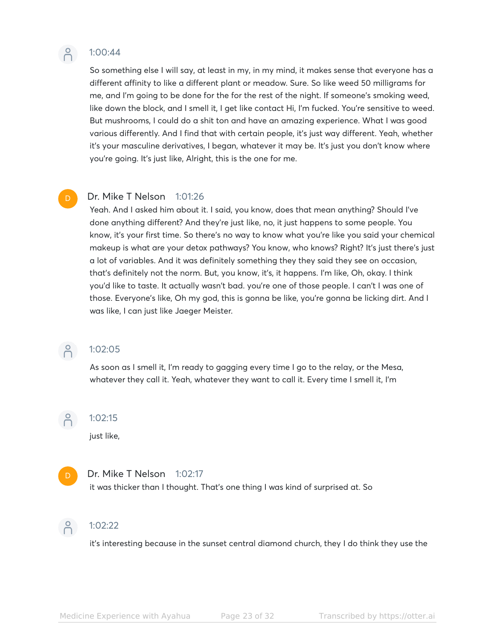

#### 1:00:44

So something else I will say, at least in my, in my mind, it makes sense that everyone has a different affinity to like a different plant or meadow. Sure. So like weed 50 milligrams for me, and I'm going to be done for the for the rest of the night. If someone's smoking weed, like down the block, and I smell it, I get like contact Hi, I'm fucked. You're sensitive to weed. But mushrooms, I could do a shit ton and have an amazing experience. What I was good various differently. And I find that with certain people, it's just way different. Yeah, whether it's your masculine derivatives, I began, whatever it may be. It's just you don't know where you're going. It's just like, Alright, this is the one for me.

#### Dr. Mike T Nelson 1:01:26

Yeah. And I asked him about it. I said, you know, does that mean anything? Should I've done anything different? And they're just like, no, it just happens to some people. You know, it's your first time. So there's no way to know what you're like you said your chemical makeup is what are your detox pathways? You know, who knows? Right? It's just there's just a lot of variables. And it was definitely something they they said they see on occasion, that's definitely not the norm. But, you know, it's, it happens. I'm like, Oh, okay. I think you'd like to taste. It actually wasn't bad. you're one of those people. I can't I was one of those. Everyone's like, Oh my god, this is gonna be like, you're gonna be licking dirt. And I was like, I can just like Jaeger Meister.

## $-2$  1:02:05

As soon as I smell it, I'm ready to gagging every time I go to the relay, or the Mesa, whatever they call it. Yeah, whatever they want to call it. Every time I smell it, I'm

 $\beta$ 1:02:15

just like,

#### Dr. Mike T Nelson 1:02:17

it was thicker than I thought. That's one thing I was kind of surprised at. So



D

#### 1:02:22

it's interesting because in the sunset central diamond church, they I do think they use the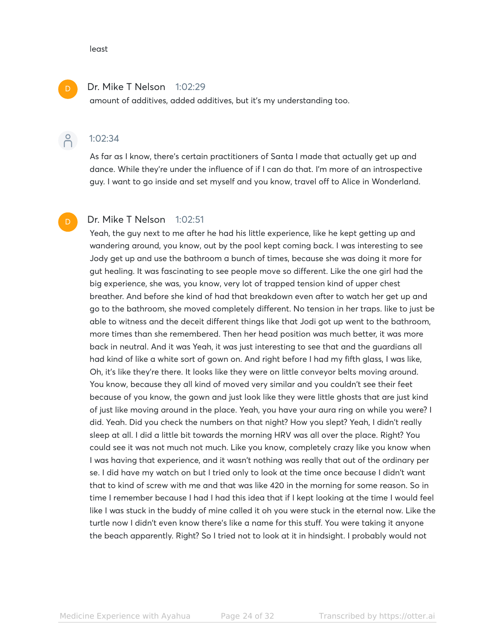#### least

#### Dr. Mike T Nelson 1:02:29

amount of additives, added additives, but it's my understanding too.

#### $\beta$ 1:02:34

As far as I know, there's certain practitioners of Santa I made that actually get up and dance. While they're under the influence of if I can do that. I'm more of an introspective guy. I want to go inside and set myself and you know, travel off to Alice in Wonderland.

#### Dr. Mike T Nelson 1:02:51 D

Yeah, the guy next to me after he had his little experience, like he kept getting up and wandering around, you know, out by the pool kept coming back. I was interesting to see Jody get up and use the bathroom a bunch of times, because she was doing it more for gut healing. It was fascinating to see people move so different. Like the one girl had the big experience, she was, you know, very lot of trapped tension kind of upper chest breather. And before she kind of had that breakdown even after to watch her get up and go to the bathroom, she moved completely different. No tension in her traps. like to just be able to witness and the deceit different things like that Jodi got up went to the bathroom, more times than she remembered. Then her head position was much better, it was more back in neutral. And it was Yeah, it was just interesting to see that and the guardians all had kind of like a white sort of gown on. And right before I had my fifth glass, I was like, Oh, it's like they're there. It looks like they were on little conveyor belts moving around. You know, because they all kind of moved very similar and you couldn't see their feet because of you know, the gown and just look like they were little ghosts that are just kind of just like moving around in the place. Yeah, you have your aura ring on while you were? I did. Yeah. Did you check the numbers on that night? How you slept? Yeah, I didn't really sleep at all. I did a little bit towards the morning HRV was all over the place. Right? You could see it was not much not much. Like you know, completely crazy like you know when I was having that experience, and it wasn't nothing was really that out of the ordinary per se. I did have my watch on but I tried only to look at the time once because I didn't want that to kind of screw with me and that was like 420 in the morning for some reason. So in time I remember because I had I had this idea that if I kept looking at the time I would feel like I was stuck in the buddy of mine called it oh you were stuck in the eternal now. Like the turtle now I didn't even know there's like a name for this stuff. You were taking it anyone the beach apparently. Right? So I tried not to look at it in hindsight. I probably would not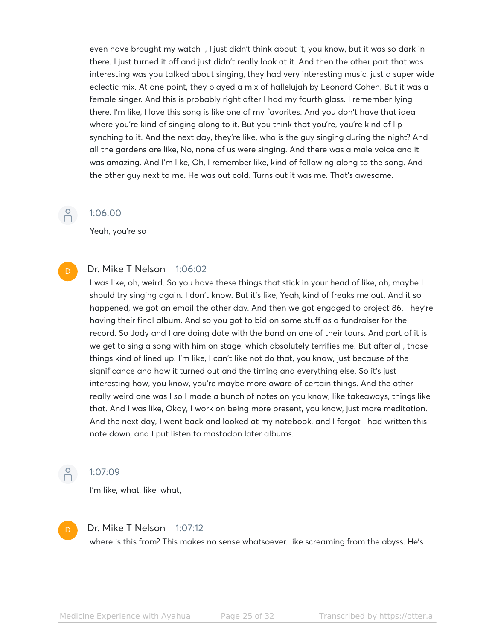even have brought my watch I, I just didn't think about it, you know, but it was so dark in there. I just turned it off and just didn't really look at it. And then the other part that was interesting was you talked about singing, they had very interesting music, just a super wide eclectic mix. At one point, they played a mix of hallelujah by Leonard Cohen. But it was a female singer. And this is probably right after I had my fourth glass. I remember lying there. I'm like, I love this song is like one of my favorites. And you don't have that idea where you're kind of singing along to it. But you think that you're, you're kind of lip synching to it. And the next day, they're like, who is the guy singing during the night? And all the gardens are like, No, none of us were singing. And there was a male voice and it was amazing. And I'm like, Oh, I remember like, kind of following along to the song. And the other guy next to me. He was out cold. Turns out it was me. That's awesome.

#### 1:06:00

Yeah, you're so

#### Dr. Mike T Nelson 1:06:02 D

I was like, oh, weird. So you have these things that stick in your head of like, oh, maybe I should try singing again. I don't know. But it's like, Yeah, kind of freaks me out. And it so happened, we got an email the other day. And then we got engaged to project 86. They're having their final album. And so you got to bid on some stuff as a fundraiser for the record. So Jody and I are doing date with the band on one of their tours. And part of it is we get to sing a song with him on stage, which absolutely terrifies me. But after all, those things kind of lined up. I'm like, I can't like not do that, you know, just because of the significance and how it turned out and the timing and everything else. So it's just interesting how, you know, you're maybe more aware of certain things. And the other really weird one was I so I made a bunch of notes on you know, like takeaways, things like that. And I was like, Okay, I work on being more present, you know, just more meditation. And the next day, I went back and looked at my notebook, and I forgot I had written this note down, and I put listen to mastodon later albums.

## $\beta$

#### 1:07:09

I'm like, what, like, what,



#### Dr. Mike T Nelson 1:07:12

where is this from? This makes no sense whatsoever. like screaming from the abyss. He's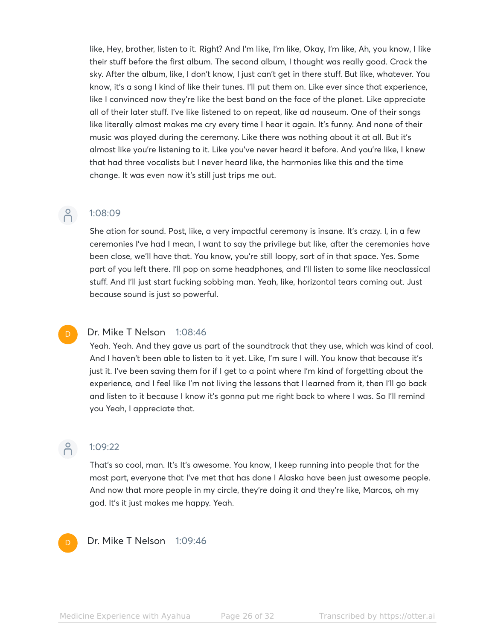like, Hey, brother, listen to it. Right? And I'm like, I'm like, Okay, I'm like, Ah, you know, I like their stuff before the first album. The second album, I thought was really good. Crack the sky. After the album, like, I don't know, I just can't get in there stuff. But like, whatever. You know, it's a song I kind of like their tunes. I'll put them on. Like ever since that experience, like I convinced now they're like the best band on the face of the planet. Like appreciate all of their later stuff. I've like listened to on repeat, like ad nauseum. One of their songs like literally almost makes me cry every time I hear it again. It's funny. And none of their music was played during the ceremony. Like there was nothing about it at all. But it's almost like you're listening to it. Like you've never heard it before. And you're like, I knew that had three vocalists but I never heard like, the harmonies like this and the time change. It was even now it's still just trips me out.

#### 1:08:09

She ation for sound. Post, like, a very impactful ceremony is insane. It's crazy. I, in a few ceremonies I've had I mean, I want to say the privilege but like, after the ceremonies have been close, we'll have that. You know, you're still loopy, sort of in that space. Yes. Some part of you left there. I'll pop on some headphones, and I'll listen to some like neoclassical stuff. And I'll just start fucking sobbing man. Yeah, like, horizontal tears coming out. Just because sound is just so powerful.

#### Dr. Mike T Nelson 1:08:46

Yeah. Yeah. And they gave us part of the soundtrack that they use, which was kind of cool. And I haven't been able to listen to it yet. Like, I'm sure I will. You know that because it's just it. I've been saving them for if I get to a point where I'm kind of forgetting about the experience, and I feel like I'm not living the lessons that I learned from it, then I'll go back and listen to it because I know it's gonna put me right back to where I was. So I'll remind you Yeah, I appreciate that.



D

 $\beta$ 

# $0^{9}$  1:09:22

That's so cool, man. It's It's awesome. You know, I keep running into people that for the most part, everyone that I've met that has done I Alaska have been just awesome people. And now that more people in my circle, they're doing it and they're like, Marcos, oh my god. It's it just makes me happy. Yeah.

Dr. Mike T Nelson 1:09:46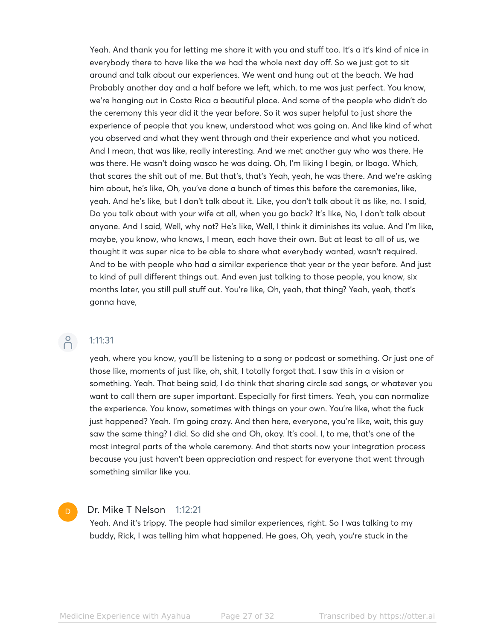Yeah. And thank you for letting me share it with you and stuff too. It's a it's kind of nice in everybody there to have like the we had the whole next day off. So we just got to sit around and talk about our experiences. We went and hung out at the beach. We had Probably another day and a half before we left, which, to me was just perfect. You know, we're hanging out in Costa Rica a beautiful place. And some of the people who didn't do the ceremony this year did it the year before. So it was super helpful to just share the experience of people that you knew, understood what was going on. And like kind of what you observed and what they went through and their experience and what you noticed. And I mean, that was like, really interesting. And we met another guy who was there. He was there. He wasn't doing wasco he was doing. Oh, I'm liking I begin, or Iboga. Which, that scares the shit out of me. But that's, that's Yeah, yeah, he was there. And we're asking him about, he's like, Oh, you've done a bunch of times this before the ceremonies, like, yeah. And he's like, but I don't talk about it. Like, you don't talk about it as like, no. I said, Do you talk about with your wife at all, when you go back? It's like, No, I don't talk about anyone. And I said, Well, why not? He's like, Well, I think it diminishes its value. And I'm like, maybe, you know, who knows, I mean, each have their own. But at least to all of us, we thought it was super nice to be able to share what everybody wanted, wasn't required. And to be with people who had a similar experience that year or the year before. And just to kind of pull different things out. And even just talking to those people, you know, six months later, you still pull stuff out. You're like, Oh, yeah, that thing? Yeah, yeah, that's gonna have,

## $\beta$

#### 1:11:31

yeah, where you know, you'll be listening to a song or podcast or something. Or just one of those like, moments of just like, oh, shit, I totally forgot that. I saw this in a vision or something. Yeah. That being said, I do think that sharing circle sad songs, or whatever you want to call them are super important. Especially for first timers. Yeah, you can normalize the experience. You know, sometimes with things on your own. You're like, what the fuck just happened? Yeah. I'm going crazy. And then here, everyone, you're like, wait, this guy saw the same thing? I did. So did she and Oh, okay. It's cool. I, to me, that's one of the most integral parts of the whole ceremony. And that starts now your integration process because you just haven't been appreciation and respect for everyone that went through something similar like you.

#### Dr. Mike T Nelson 1:12:21 D

Yeah. And it's trippy. The people had similar experiences, right. So I was talking to my buddy, Rick, I was telling him what happened. He goes, Oh, yeah, you're stuck in the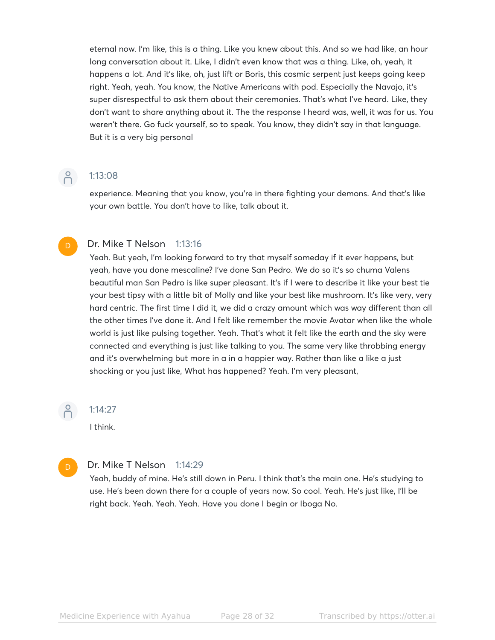eternal now. I'm like, this is a thing. Like you knew about this. And so we had like, an hour long conversation about it. Like, I didn't even know that was a thing. Like, oh, yeah, it happens a lot. And it's like, oh, just lift or Boris, this cosmic serpent just keeps going keep right. Yeah, yeah. You know, the Native Americans with pod. Especially the Navajo, it's super disrespectful to ask them about their ceremonies. That's what I've heard. Like, they don't want to share anything about it. The the response I heard was, well, it was for us. You weren't there. Go fuck yourself, so to speak. You know, they didn't say in that language. But it is a very big personal

D

## P 1:13:08

experience. Meaning that you know, you're in there fighting your demons. And that's like your own battle. You don't have to like, talk about it.

#### Dr. Mike T Nelson 1:13:16

Yeah. But yeah, I'm looking forward to try that myself someday if it ever happens, but yeah, have you done mescaline? I've done San Pedro. We do so it's so chuma Valens beautiful man San Pedro is like super pleasant. It's if I were to describe it like your best tie your best tipsy with a little bit of Molly and like your best like mushroom. It's like very, very hard centric. The first time I did it, we did a crazy amount which was way different than all the other times I've done it. And I felt like remember the movie Avatar when like the whole world is just like pulsing together. Yeah. That's what it felt like the earth and the sky were connected and everything is just like talking to you. The same very like throbbing energy and it's overwhelming but more in a in a happier way. Rather than like a like a just shocking or you just like, What has happened? Yeah. I'm very pleasant,

 $\beta$ 

D

#### 1:14:27

I think.

#### Dr. Mike T Nelson 1:14:29

Yeah, buddy of mine. He's still down in Peru. I think that's the main one. He's studying to use. He's been down there for a couple of years now. So cool. Yeah. He's just like, I'll be right back. Yeah. Yeah. Yeah. Have you done I begin or Iboga No.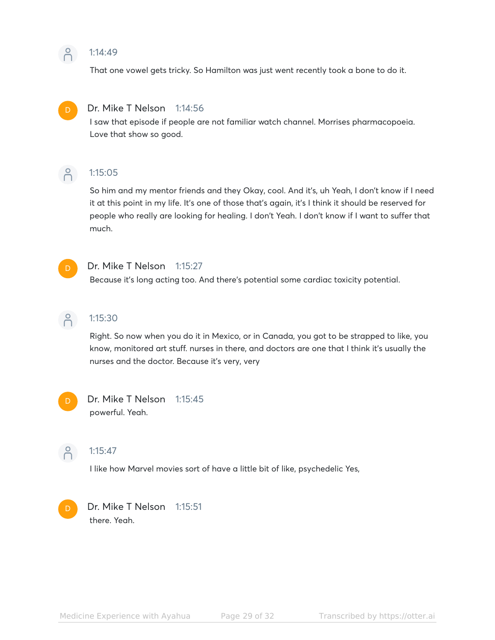#### $\beta$ 1:14:49

That one vowel gets tricky. So Hamilton was just went recently took a bone to do it.



#### Dr. Mike T Nelson 1:14:56

I saw that episode if people are not familiar watch channel. Morrises pharmacopoeia. Love that show so good.



#### 1:15:05

So him and my mentor friends and they Okay, cool. And it's, uh Yeah, I don't know if I need it at this point in my life. It's one of those that's again, it's I think it should be reserved for people who really are looking for healing. I don't Yeah. I don't know if I want to suffer that much.



#### Dr. Mike T Nelson 1:15:27

Because it's long acting too. And there's potential some cardiac toxicity potential.



#### 1:15:30

Right. So now when you do it in Mexico, or in Canada, you got to be strapped to like, you know, monitored art stuff. nurses in there, and doctors are one that I think it's usually the nurses and the doctor. Because it's very, very



#### Dr. Mike T Nelson 1:15:45 powerful. Yeah.



#### 1:15:47

I like how Marvel movies sort of have a little bit of like, psychedelic Yes,



Dr. Mike T Nelson 1:15:51 there. Yeah.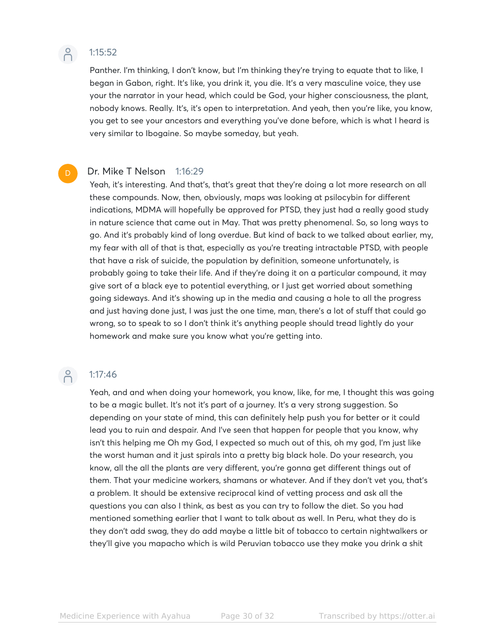

D

#### 1:15:52

Panther. I'm thinking, I don't know, but I'm thinking they're trying to equate that to like, I began in Gabon, right. It's like, you drink it, you die. It's a very masculine voice, they use your the narrator in your head, which could be God, your higher consciousness, the plant, nobody knows. Really. It's, it's open to interpretation. And yeah, then you're like, you know, you get to see your ancestors and everything you've done before, which is what I heard is very similar to Ibogaine. So maybe someday, but yeah.

#### Dr. Mike T Nelson 1:16:29

Yeah, it's interesting. And that's, that's great that they're doing a lot more research on all these compounds. Now, then, obviously, maps was looking at psilocybin for different indications, MDMA will hopefully be approved for PTSD, they just had a really good study in nature science that came out in May. That was pretty phenomenal. So, so long ways to go. And it's probably kind of long overdue. But kind of back to we talked about earlier, my, my fear with all of that is that, especially as you're treating intractable PTSD, with people that have a risk of suicide, the population by definition, someone unfortunately, is probably going to take their life. And if they're doing it on a particular compound, it may give sort of a black eye to potential everything, or I just get worried about something going sideways. And it's showing up in the media and causing a hole to all the progress and just having done just, I was just the one time, man, there's a lot of stuff that could go wrong, so to speak to so I don't think it's anything people should tread lightly do your homework and make sure you know what you're getting into.

## $-2$  1:17:46

Yeah, and and when doing your homework, you know, like, for me, I thought this was going to be a magic bullet. It's not it's part of a journey. It's a very strong suggestion. So depending on your state of mind, this can definitely help push you for better or it could lead you to ruin and despair. And I've seen that happen for people that you know, why isn't this helping me Oh my God, I expected so much out of this, oh my god, I'm just like the worst human and it just spirals into a pretty big black hole. Do your research, you know, all the all the plants are very different, you're gonna get different things out of them. That your medicine workers, shamans or whatever. And if they don't vet you, that's a problem. It should be extensive reciprocal kind of vetting process and ask all the questions you can also I think, as best as you can try to follow the diet. So you had mentioned something earlier that I want to talk about as well. In Peru, what they do is they don't add swag, they do add maybe a little bit of tobacco to certain nightwalkers or they'll give you mapacho which is wild Peruvian tobacco use they make you drink a shit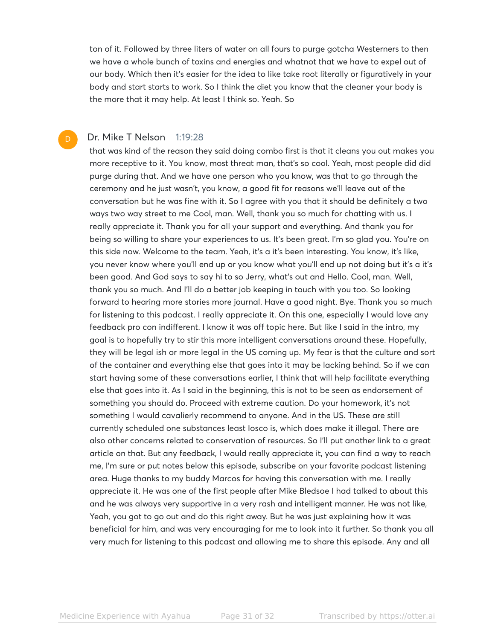ton of it. Followed by three liters of water on all fours to purge gotcha Westerners to then we have a whole bunch of toxins and energies and whatnot that we have to expel out of our body. Which then it's easier for the idea to like take root literally or figuratively in your body and start starts to work. So I think the diet you know that the cleaner your body is the more that it may help. At least I think so. Yeah. So

#### Dr. Mike T Nelson 1:19:28 D

that was kind of the reason they said doing combo first is that it cleans you out makes you more receptive to it. You know, most threat man, that's so cool. Yeah, most people did did purge during that. And we have one person who you know, was that to go through the ceremony and he just wasn't, you know, a good fit for reasons we'll leave out of the conversation but he was fine with it. So I agree with you that it should be definitely a two ways two way street to me Cool, man. Well, thank you so much for chatting with us. I really appreciate it. Thank you for all your support and everything. And thank you for being so willing to share your experiences to us. It's been great. I'm so glad you. You're on this side now. Welcome to the team. Yeah, it's a it's been interesting. You know, it's like, you never know where you'll end up or you know what you'll end up not doing but it's a it's been good. And God says to say hi to so Jerry, what's out and Hello. Cool, man. Well, thank you so much. And I'll do a better job keeping in touch with you too. So looking forward to hearing more stories more journal. Have a good night. Bye. Thank you so much for listening to this podcast. I really appreciate it. On this one, especially I would love any feedback pro con indifferent. I know it was off topic here. But like I said in the intro, my goal is to hopefully try to stir this more intelligent conversations around these. Hopefully, they will be legal ish or more legal in the US coming up. My fear is that the culture and sort of the container and everything else that goes into it may be lacking behind. So if we can start having some of these conversations earlier, I think that will help facilitate everything else that goes into it. As I said in the beginning, this is not to be seen as endorsement of something you should do. Proceed with extreme caution. Do your homework, it's not something I would cavalierly recommend to anyone. And in the US. These are still currently scheduled one substances least Iosco is, which does make it illegal. There are also other concerns related to conservation of resources. So I'll put another link to a great article on that. But any feedback, I would really appreciate it, you can find a way to reach me, I'm sure or put notes below this episode, subscribe on your favorite podcast listening area. Huge thanks to my buddy Marcos for having this conversation with me. I really appreciate it. He was one of the first people after Mike Bledsoe I had talked to about this and he was always very supportive in a very rash and intelligent manner. He was not like, Yeah, you got to go out and do this right away. But he was just explaining how it was beneficial for him, and was very encouraging for me to look into it further. So thank you all very much for listening to this podcast and allowing me to share this episode. Any and all